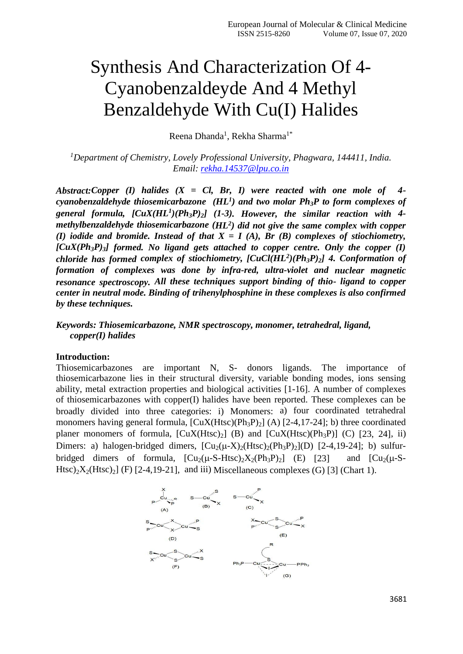# Synthesis And Characterization Of 4- Cyanobenzaldeyde And 4 Methyl Benzaldehyde With Cu(I) Halides

Reena Dhanda<sup>1</sup>, Rekha Sharma<sup>1\*</sup>

*<sup>1</sup>Department of Chemistry, Lovely Professional University, Phagwara, 144411, India. Email: [rekha.14537@lpu.co.in](mailto:rekha.14537@lpu.co.in)*

*Abstract:Copper (I) halides (X = Cl, Br, I) were reacted with one mole of 4 cyanobenzaldehyde thiosemicarbazone (HL<sup>1</sup> ) and two molar Ph3P to form complexes of general formula, [CuX(HL<sup>1</sup> )(Ph3P)2] (1-3). However, the similar reaction with 4 methylbenzaldehyde thiosemicarbazone (HL<sup>2</sup> ) did not give the same complex with copper (I) iodide and bromide. Instead of that X = I (A), Br (B) complexes of stiochiometry, [CuX(Ph3P)3] formed. No ligand gets attached to copper centre. Only the copper (I) chloride has formed complex of stiochiometry, [CuCl(HL<sup>2</sup> )(Ph3P)2] 4. Conformation of formation of complexes was done by infra-red, ultra-violet and nuclear magnetic resonance spectroscopy. All these techniques support binding of thio- ligand to copper center in neutral mode. Binding of trihenylphosphine in these complexes is also confirmed by these techniques.*

*Keywords: Thiosemicarbazone, NMR spectroscopy, monomer, tetrahedral, ligand, copper(I) halides*

## **Introduction:**

Thiosemicarbazones are important N, S- donors ligands. The importance of thiosemicarbazone lies in their structural diversity, variable bonding modes, ions sensing ability, metal extraction properties and biological activities [1-16]. A number of complexes of thiosemicarbazones with copper(I) halides have been reported. These complexes can be broadly divided into three categories: i) Monomers: a) four coordinated tetrahedral monomers having general formula,  $\left[\text{CuX(Htsc)}(Ph_3P)_2\right]$  (A)  $\left[2-4,17-24\right]$ ; b) three coordinated planer monomers of formula,  $[CuX(Htsc)<sub>2</sub>]$  (B) and  $[CuX(Htsc)(Ph<sub>3</sub>P)]$  (C) [23, 24], ii) Dimers: a) halogen-bridged dimers,  $\left[\text{Cu}_2(\mu-X)_2(\text{Htsc})_2(\text{Ph}_3\text{P})_2\right](D)$  [2-4,19-24]; b) sulfurbridged dimers of formula,  $\left[\text{Cu}_2(\mu\text{-}S\text{-}H\text{tsc})_2X_2(\text{Ph}_3\text{P})_2\right]$  (E)  $\left[23\right]$  and  $\left[\text{Cu}_2(\mu\text{-}S\text{-}H\text{tsc})_2X_2(\text{Ph}_3\text{P})_2\right]$ Htsc)<sub>2</sub>X<sub>2</sub>(Htsc)<sub>2</sub>] (F) [2-4,19-21], and iii) Miscellaneous complexes (G) [3] (Chart 1).

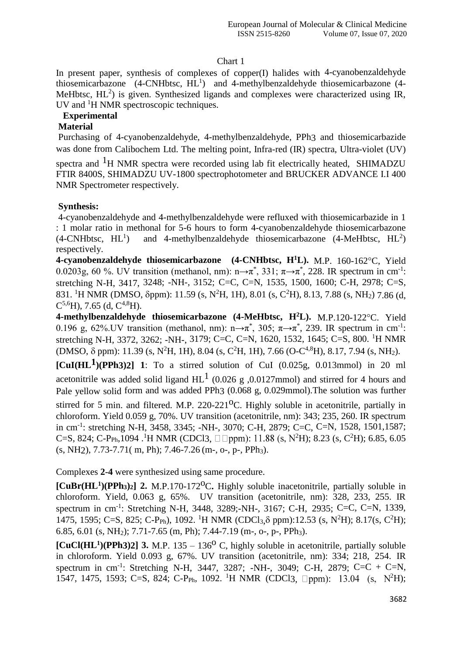## Chart 1

In present paper, synthesis of complexes of copper(I) halides with 4-cyanobenzaldehyde thiosemicarbazone  $(4$ -CNHbtsc,  $HL<sup>1</sup>$  and 4-methylbenzaldehyde thiosemicarbazone  $(4$ -MeHbtsc,  $HL^2$ ) is given. Synthesized ligands and complexes were characterized using IR, UV and <sup>1</sup>H NMR spectroscopic techniques.

## **Experimental**

# **Material**

Purchasing of 4-cyanobenzaldehyde, 4-methylbenzaldehyde, PPh3 and thiosemicarbazide was done from Calibochem Ltd. The melting point, Infra-red (IR) spectra, Ultra-violet (UV)

spectra and  ${}^{1}H$  NMR spectra were recorded using lab fit electrically heated, SHIMADZU FTIR 8400S, SHIMADZU UV-1800 spectrophotometer and BRUCKER ADVANCE I.I 400 NMR Spectrometer respectively.

# **Synthesis:**

4-cyanobenzaldehyde and 4-methylbenzaldehyde were refluxed with thiosemicarbazide in 1 : 1 molar ratio in methonal for 5-6 hours to form 4-cyanobenzaldehyde thiosemicarbazone  $(4\text{-CNHbtsc}, HL^1)$ ) and 4-methylbenzaldehyde thiosemicarbazone  $(4\n-MeHbtsc, HL^2)$ respectively.

**4-cyanobenzaldehyde thiosemicarbazone (4-CNHbtsc, H<sup>1</sup>L). M.P. 160-162°C. Yield** 0.0203g, 60 %. UV transition (methanol, nm):  $n\rightarrow \pi^*$ , 331;  $\pi\rightarrow \pi^*$ , 228. IR spectrum in cm<sup>-1</sup>: stretching N-H, 3417, 3248; -NH-, 3152; C=C, C=N, 1535, 1500, 1600; C-H, 2978; C=S, 831. <sup>1</sup>H NMR (DMSO,  $\delta$ ppm): 11.59 (s, N<sup>2</sup>H, 1H), 8.01 (s, C<sup>2</sup>H), 8.13, 7.88 (s, NH<sub>2</sub>) 7.86 (d,  $C^{5,6}$ H), 7.65 (d,  $C^{4,8}$ H).

4-methylbenzaldehyde thiosemicarbazone (4-MeHbtsc, H<sup>2</sup>L). M.P.120-122°C. Yield 0.196 g, 62%.UV transition (methanol, nm): n $\rightarrow \pi^*$ , 305;  $\pi \rightarrow \pi^*$ , 239. IR spectrum in cm<sup>-1</sup>: stretching N-H, 3372, 3262; -NH-, 3179; C=C, C=N, 1620, 1532, 1645; C=S, 800. <sup>1</sup>H NMR (DMSO,  $\delta$  ppm): 11.39 (s, N<sup>2</sup>H, 1H), 8.04 (s, C<sup>2</sup>H, 1H), 7.66 (O-C<sup>4,8</sup>H), 8.17, 7.94 (s, NH<sub>2</sub>).

 $\text{[Cul(HL}^1)(\text{PPh3})$  1: To a stirred solution of CuI (0.025g, 0.013mmol) in 20 ml acetonitrile was added solid ligand  $HL^1$  (0.026 g ,0.0127mmol) and stirred for 4 hours and Pale yellow solid form and was added PPh3 (0.068 g, 0.029mmol).The solution was further stirred for 5 min. and filtered. M.P.  $220-221^{\circ}$ C. Highly soluble in acetonitrile, partially in chloroform. Yield 0.059 g, 70%. UV transition (acetonitrile, nm): 343; 235, 260. IR spectrum in cm-1 : stretching N-H, 3458, 3345; -NH-, 3070; C-H, 2879; C=C, C=N, 1528, 1501,1587; C=S, 824; C-P<sub>Ph</sub>,1094 .<sup>1</sup>H NMR (CDCl3,  $\Box$  ppm): 11.88 (s, N<sup>2</sup>H); 8.23 (s, C<sup>2</sup>H); 6.85, 6.05

Complexes **2**-**4** were synthesized using same procedure.

 $(s, NH2), 7.73-7.71(m, Ph); 7.46-7.26(m-, o-, p-, PPh<sub>3</sub>).$ 

**[CuBr(HL<sup>1</sup> )(PPh3)2] 2.** M.P.170-172oC**.** Highly soluble inacetonitrile, partially soluble in chloroform. Yield, 0.063 g, 65%. UV transition (acetonitrile, nm): 328, 233, 255. IR spectrum in cm-1 : Stretching N-H, 3448, 3289;-NH-, 3167; C-H, 2935; C=C, C=N, 1339, 1475, 1595; C=S, 825; C-P<sub>Ph</sub>), 1092. <sup>1</sup>H NMR (CDCl<sub>3</sub>, $\delta$  ppm):12.53 (s, N<sup>2</sup>H); 8.17(s, C<sup>2</sup>H); 6.85, 6.01 (s, NH<sub>2</sub>); 7.71-7.65 (m, Ph); 7.44-7.19 (m-, o-, p-, PPh<sub>3</sub>).

 $\left[\text{CuCl(HL}^1)(\text{PPh3})2\right]$  3. M.P. 135 – 136<sup>o</sup> C, highly soluble in acetonitrile, partially soluble in chloroform. Yield 0.093 g, 67%. UV transition (acetonitrile, nm): 334; 218, 254. IR spectrum in cm-1 : Stretching N-H, 3447, 3287; -NH-, 3049; C-H, 2879; C=C + C=N, 1547, 1475, 1593; C=S, 824; C-P<sub>Ph</sub>, 1092. <sup>1</sup>H NMR (CDCl3,  $\Box$ ppm): 13.04 (s, N<sup>2</sup>H);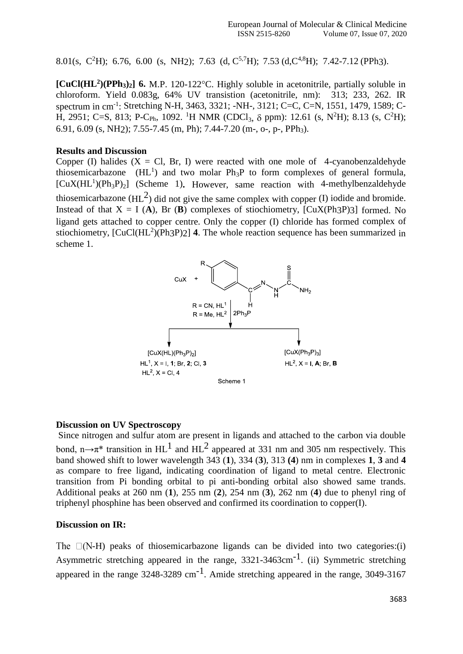8.01(s, C<sup>2</sup>H); 6.76, 6.00 (s, NH<sub>2</sub>); 7.63 (d, C<sup>5,7</sup>H); 7.53 (d, C<sup>4,8</sup>H); 7.42-7.12 (PPh<sub>3</sub>).

**[CuCl(HL<sup>2</sup> )(PPh3)2] 6.** M.P. 120-122C. Highly soluble in acetonitrile, partially soluble in chloroform. Yield 0.083g, 64% UV transistion (acetonitrile, nm): 313; 233, 262. IR spectrum in cm-1 : Stretching N-H, 3463, 3321; -NH-, 3121; C=C, C=N, 1551, 1479, 1589; C-H, 2951; C=S, 813; P-C<sub>Ph</sub>, 1092. <sup>1</sup>H NMR (CDCl<sub>3</sub>,  $\delta$  ppm): 12.61 (s, N<sup>2</sup>H); 8.13 (s, C<sup>2</sup>H); 6.91, 6.09 (s, NH2); 7.55-7.45 (m, Ph); 7.44-7.20 (m-, o-, p-, PPh3).

## **Results and Discussion**

Copper (I) halides  $(X = Cl, Br, I)$  were reacted with one mole of 4-cyanobenzaldehyde thiosemicarbazone ( $HL<sup>1</sup>$ ) and two molar  $Ph_3P$  to form complexes of general formula, [CuX(HL<sup>1</sup>)(Ph<sub>3</sub>P)<sub>2</sub>] (Scheme 1). However, same reaction with 4-methylbenzaldehyde thiosemicarbazone ( $HL^2$ ) did not give the same complex with copper (I) iodide and bromide. Instead of that  $X = I(A)$ , Br (B) complexes of stiochiometry, [CuX(Ph3P)3] formed. No ligand gets attached to copper centre. Only the copper (I) chloride has formed complex of stiochiometry,  $[CuCl(HL<sup>2</sup>)(Ph3P)2]$  4. The whole reaction sequence has been summarized in scheme 1.



### **Discussion on UV Spectroscopy**

Since nitrogen and sulfur atom are present in ligands and attached to the carbon via double bond, n $\rightarrow \pi^*$  transition in HL<sup>1</sup> and HL<sup>2</sup> appeared at 331 nm and 305 nm respectively. This band showed shift to lower wavelength 343 (**1**), 334 (**3**), 313 **(4**) nm in complexes **1**, **3** and **4** as compare to free ligand, indicating coordination of ligand to metal centre. Electronic transition from Pi bonding orbital to pi anti-bonding orbital also showed same trands. Additional peaks at 260 nm (**1**), 255 nm (**2**), 254 nm (**3**), 262 nm (**4**) due to phenyl ring of triphenyl phosphine has been observed and confirmed its coordination to copper(I).

### **Discussion on IR:**

The  $\Box$ (N-H) peaks of thiosemicarbazone ligands can be divided into two categories:(i) Asymmetric stretching appeared in the range,  $3321 - 3463 \text{cm}^{-1}$ . (ii) Symmetric stretching appeared in the range  $3248-3289$  cm<sup>-1</sup>. Amide stretching appeared in the range,  $3049-3167$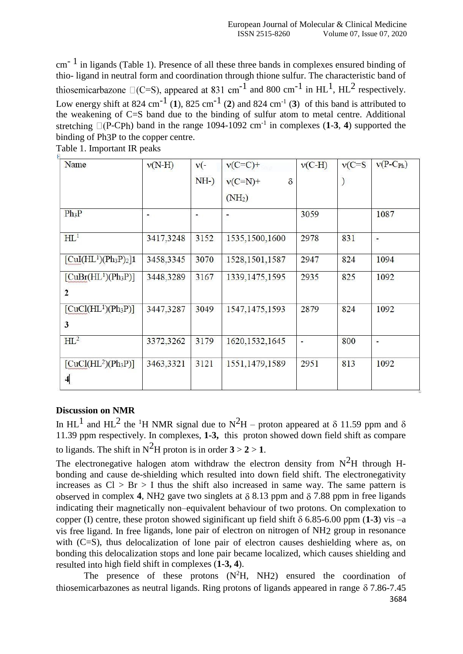cm- 1 in ligands (Table 1). Presence of all these three bands in complexes ensured binding of thio- ligand in neutral form and coordination through thione sulfur. The characteristic band of  $^{-1}$  and 800 cm<sup>-1</sup> in HL<sup>1</sup>, HL<sup>2</sup> respectively. Low energy shift at 824 cm<sup>-1</sup> (1), 825 cm<sup>-1</sup> (2) and 824 cm<sup>-1</sup> (3) of this band is attributed to the weakening of C=S band due to the binding of sulfur atom to metal centre. Additional stretching  $\Box$ (P-CPh) band in the range 1094-1092 cm<sup>-1</sup> in complexes (1-3, 4) supported the binding of Ph3P to the copper centre.

Table 1. Important IR peaks

| Name                                                     | $v(N-H)$  | $v(-)$ | $v(C=C)+$          | $v(C-H)$ | $v(C=S)$ | $v(P-C_{Ph})$            |
|----------------------------------------------------------|-----------|--------|--------------------|----------|----------|--------------------------|
|                                                          |           | $NH-$  | $v(C=N)$ +<br>δ    |          | )        |                          |
|                                                          |           |        | (NH <sub>2</sub> ) |          |          |                          |
| $Ph_3P$                                                  | ۰         | ۰      |                    | 3059     |          | 1087                     |
| HL <sup>1</sup>                                          | 3417,3248 | 3152   | 1535, 1500, 1600   | 2978     | 831      | $\overline{\phantom{a}}$ |
| $\left[\text{CuI(HL}^1)(\text{Ph}_3\text{P})_2\right]$ 1 | 3458,3345 | 3070   | 1528, 1501, 1587   | 2947     | 824      | 1094                     |
| $[CuBr(HL1)(Ph3P)]$                                      | 3448,3289 | 3167   | 1339, 1475, 1595   | 2935     | 825      | 1092                     |
| $\overline{2}$                                           |           |        |                    |          |          |                          |
| $[CuCl(HL1)(Ph3P)]$                                      | 3447,3287 | 3049   | 1547, 1475, 1593   | 2879     | 824      | 1092                     |
| 3                                                        |           |        |                    |          |          |                          |
| $HL^2$                                                   | 3372,3262 | 3179   | 1620, 1532, 1645   | ä,       | 800      | ۰                        |
| $[CuCl(HL2)(Ph3P)]$                                      | 3463,3321 | 3121   | 1551,1479,1589     | 2951     | 813      | 1092                     |
| $\overline{\mathbf{4}}$                                  |           |        |                    |          |          |                          |

## **Discussion on NMR**

In HL<sup>1</sup> and HL<sup>2</sup> the <sup>1</sup>H NMR signal due to N<sup>2</sup>H – proton appeared at  $\delta$  11.59 ppm and  $\delta$ 11.39 ppm respectively. In complexes, **1-3,** this proton showed down field shift as compare to ligands. The shift in  $N^2H$  proton is in order  $3 > 2 > 1$ .

The electronegative halogen atom withdraw the electron density from  $N^2H$  through Hbonding and cause de-shielding which resulted into down field shift. The electronegativity increases as  $Cl > Br > I$  thus the shift also increased in same way. The same pattern is observed in complex 4, NH<sub>2</sub> gave two singlets at  $\delta$  8.13 ppm and  $\delta$  7.88 ppm in free ligands indicating their magnetically non–equivalent behaviour of two protons. On complexation to copper (I) centre, these proton showed siginificant up field shift  $\delta$  6.85-6.00 ppm (1-3) vis –a vis free ligand. In free ligands, lone pair of electron on nitrogen of NH2 group in resonance with (C=S), thus delocalization of lone pair of electron causes deshielding where as, on bonding this delocalization stops and lone pair became localized, which causes shielding and resulted into high field shift in complexes (**1-3, 4**).

The presence of these protons  $(N^2H, NH2)$  ensured the coordination of thiosemicarbazones as neutral ligands. Ring protons of ligands appeared in range  $\delta$  7.86-7.45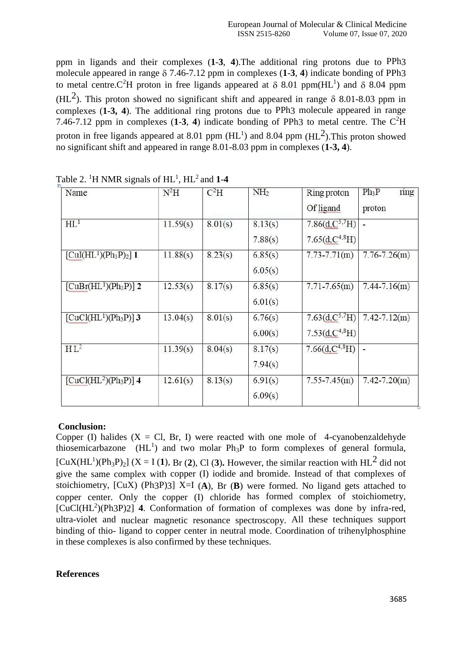ppm in ligands and their complexes (**1**-**3**, **4**).The additional ring protons due to PPh3 molecule appeared in range  $\delta$  7.46-7.12 ppm in complexes (1-3, 4) indicate bonding of PPh3 to metal centre.C<sup>2</sup>H proton in free ligands appeared at  $\delta$  8.01 ppm(HL<sup>1</sup>) and  $\delta$  8.04 ppm (HL<sup>2</sup>). This proton showed no significant shift and appeared in range  $\delta$  8.01-8.03 ppm in complexes (**1-3, 4**). The additional ring protons due to PPh3 molecule appeared in range 7.46-7.12 ppm in complexes  $(1-3, 4)$  indicate bonding of PPh3 to metal centre. The  $C<sup>2</sup>H$ proton in free ligands appeared at 8.01 ppm  $(HL<sup>1</sup>)$  and 8.04 ppm  $(HL<sup>2</sup>)$ . This proton showed no significant shift and appeared in range 8.01-8.03 ppm in complexes (**1-3, 4**).

| Name                  | $N^2H$   | $C^2H$  | NH <sub>2</sub> | Ring proton          | $Ph_3P$<br>ring  |
|-----------------------|----------|---------|-----------------|----------------------|------------------|
|                       |          |         |                 | <b>Of</b> ligand     | proton           |
| HL <sup>1</sup>       | 11.59(s) | 8.01(s) | 8.13(s)         | 7.86 $(d.C5,7H)$     | $\blacksquare$   |
|                       |          |         | 7.88(s)         | 7.65 $(d, C^{4,8}H)$ |                  |
| $[CuI(HL1)(Ph3P)2]$ 1 | 11.88(s) | 8.23(s) | 6.85(s)         | $7.73 - 7.71(m)$     | $7.76 - 7.26(m)$ |
|                       |          |         | 6.05(s)         |                      |                  |
| $[CuBr(HL1)(Ph3P)]$ 2 | 12.53(s) | 8.17(s) | 6.85(s)         | $7.71 - 7.65(m)$     | $7.44 - 7.16(m)$ |
|                       |          |         | 6.01(s)         |                      |                  |
| $[CuCl(HL1)(Ph3P)]$ 3 | 13.04(s) | 8.01(s) | 6.76(s)         | 7.63 $(d, C5,7H)$    | $7.42 - 7.12(m)$ |
|                       |          |         | 6.00(s)         | 7.53 $(d, C^{4,8}H)$ |                  |
| $HL^2$                | 11.39(s) | 8.04(s) | 8.17(s)         | 7.66 $(d, C^{4,8}H)$ | ٠                |
|                       |          |         | 7.94(s)         |                      |                  |
| $[CuCl(HL2)(Ph3P)]$ 4 | 12.61(s) | 8.13(s) | 6.91(s)         | $7.55 - 7.45(m)$     | $7.42 - 7.20(m)$ |
|                       |          |         | 6.09(s)         |                      |                  |

Table 2. <sup>1</sup>H NMR signals of  $HL^1$ ,  $HL^2$  and **1-4** 

# **Conclusion:**

Copper (I) halides  $(X = Cl, Br, I)$  were reacted with one mole of 4-cyanobenzaldehyde thiosemicarbazone  $(HL<sup>1</sup>)$  and two molar  $Ph_3P$  to form complexes of general formula,  $[CuX(HL<sup>1</sup>)(Ph<sub>3</sub>P)<sub>2</sub>]$  (X = I (1), Br (2), Cl (3). However, the similar reaction with HL<sup>2</sup> did not give the same complex with copper (I) iodide and bromide. Instead of that complexes of stoichiometry, [CuX) (Ph3P)3] X=I (**A**), Br (**B**) were formed. No ligand gets attached to copper center. Only the copper (I) chloride has formed complex of stoichiometry, [CuCl(HL<sup>2</sup>)(Ph3P)2] 4. Conformation of formation of complexes was done by infra-red, ultra-violet and nuclear magnetic resonance spectroscopy. All these techniques support binding of thio- ligand to copper center in neutral mode. Coordination of trihenylphosphine in these complexes is also confirmed by these techniques.

## **References**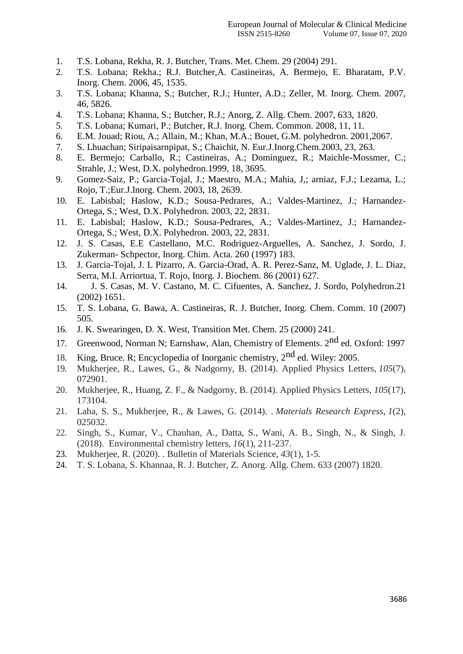- 1. T.S. Lobana, Rekha, R. J. Butcher, Trans. Met. Chem. 29 (2004) 291.
- 2. T.S. Lobana; Rekha.; R.J. Butcher,A. Castineiras, A. Bermejo, E. Bharatam, P.V. Inorg. Chem. 2006, 45, 1535.
- 3. T.S. Lobana; Khanna, S.; Butcher, R.J.; Hunter, A.D.; Zeller, M. Inorg. Chem. 2007, 46, 5826.
- 4. T.S. Lobana; Khanna, S.; Butcher, R.J.; Anorg, Z. Allg. Chem. 2007, 633, 1820.
- 5. T.S. Lobana; Kumari, P.; Butcher, R.J. Inorg. Chem. Common. 2008, 11, 11.
- 6. E.M. Jouad; Riou, A.; Allain, M.; Khan, M.A.; Bouet, G.M. polyhedron. 2001,2067.
- 7. S. Lhuachan; Siripaisarnpipat, S.; Chaichit, N. Eur.J.Inorg.Chem.2003, 23, 263.
- 8. E. Bermejo; Carballo, R.; Castineiras, A.; Dominguez, R.; Maichle-Mossmer, C.; Strahle, J.; West, D.X. polyhedron.1999, 18, 3695.
- 9. Gomez-Saiz, P.; Garcia-Tojal, J.; Maestro, M.A.; Mahia, J,; arniaz, F.J.; Lezama, L.; Rojo, T.;Eur.J.Inorg. Chem. 2003, 18, 2639.
- 10. E. Labisbal; Haslow, K.D.; Sousa-Pedrares, A.; Valdes-Martinez, J.; Harnandez-Ortega, S.; West, D.X. Polyhedron. 2003, 22, 2831.
- 11. E. Labisbal; Haslow, K.D.; Sousa-Pedrares, A.; Valdes-Martinez, J.; Harnandez-Ortega, S.; West, D.X. Polyhedron. 2003, 22, 2831.
- 12. J. S. Casas, E.E Castellano, M.C. Rodriguez-Arguelles, A. Sanchez, J. Sordo, J. Zukerman- Schpector, Inorg. Chim. Acta. 260 (1997) 183.
- 13. J. Garcia-Tojal, J. L Pizarro, A. Garcia-Orad, A. R. Perez-Sanz, M. Uglade, J. L. Diaz, Serra, M.I. Arriortua, T. Rojo, Inorg. J. Biochem. 86 (2001) 627.
- 14. J. S. Casas, M. V. Castano, M. C. Cifuentes, A. Sanchez, J. Sordo, Polyhedron.21 (2002) 1651.
- 15. T. S. Lobana, G. Bawa, A. Castineiras, R. J. Butcher, Inorg. Chem. Comm. 10 (2007) 505.
- 16. J. K. Swearingen, D. X. West, Transition Met. Chem. 25 (2000) 241.
- 17. Greenwood, Norman N; Earnshaw, Alan, Chemistry of Elements. 2<sup>nd</sup> ed. Oxford: 1997
- 18. King, Bruce. R; Encyclopedia of Inorganic chemistry,  $2<sup>nd</sup>$  ed. Wiley: 2005.
- 19. Mukherjee, R., Lawes, G., & Nadgorny, B. (2014). Applied Physics Letters, *105*(7), 072901.
- 20. Mukherjee, R., Huang, Z. F., & Nadgorny, B. (2014). Applied Physics Letters, *105*(17), 173104.
- 21. Laha, S. S., Mukherjee, R., & Lawes, G. (2014). . *Materials Research Express*, *1*(2), 025032.
- 22. Singh, S., Kumar, V., Chauhan, A., Datta, S., Wani, A. B., Singh, N., & Singh, J. (2018). Environmental chemistry letters, *16*(1), 211-237.
- 23. Mukherjee, R. (2020). . Bulletin of Materials Science, *43*(1), 1-5.
- 24. T. S. Lobana, S. Khannaa, R. J. Butcher, Z. Anorg. Allg. Chem*.* 633 (2007) 1820.